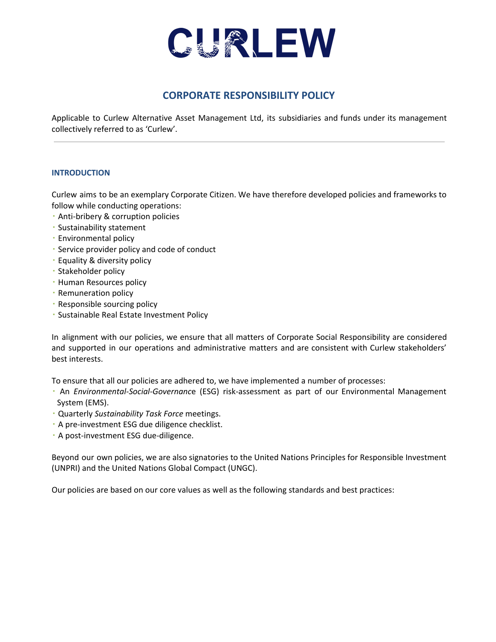

# **CORPORATE RESPONSIBILITY POLICY**

Applicable to Curlew Alternative Asset Management Ltd, its subsidiaries and funds under its management collectively referred to as 'Curlew'.

## **INTRODUCTION**

Curlew aims to be an exemplary Corporate Citizen. We have therefore developed policies and frameworks to follow while conducting operations:

- **Anti-bribery & corruption policies**
- Sustainability statement
- Environmental policy
- Service provider policy and code of conduct
- Equality & diversity policy
- Stakeholder policy
- **· Human Resources policy**
- **· Remuneration policy**
- Responsible sourcing policy
- Sustainable Real Estate Investment Policy

In alignment with our policies, we ensure that all matters of Corporate Social Responsibility are considered and supported in our operations and administrative matters and are consistent with Curlew stakeholders' best interests.

To ensure that all our policies are adhered to, we have implemented a number of processes:

- An *Environmental-Social-Governanc*e (ESG) risk-assessment as part of our Environmental Management System (EMS).
- Quarterly *Sustainability Task Force* meetings.
- A pre-investment ESG due diligence checklist.
- A post-investment ESG due-diligence.

Beyond our own policies, we are also signatories to the United Nations Principles for Responsible Investment (UNPRI) and the United Nations Global Compact (UNGC).

Our policies are based on our core values as well as the following standards and best practices: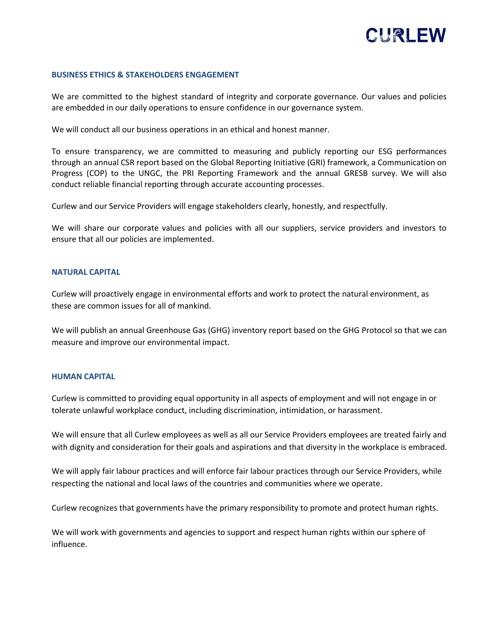

#### **BUSINESS ETHICS & STAKEHOLDERS ENGAGEMENT**

We are committed to the highest standard of integrity and corporate governance. Our values and policies are embedded in our daily operations to ensure confidence in our governance system.

We will conduct all our business operations in an ethical and honest manner.

To ensure transparency, we are committed to measuring and publicly reporting our ESG performances through an annual CSR report based on the Global Reporting Initiative (GRI) framework, a Communication on Progress (COP) to the UNGC, the PRI Reporting Framework and the annual GRESB survey. We will also conduct reliable financial reporting through accurate accounting processes.

Curlew and our Service Providers will engage stakeholders clearly, honestly, and respectfully.

We will share our corporate values and policies with all our suppliers, service providers and investors to ensure that all our policies are implemented.

#### **NATURAL CAPITAL**

Curlew will proactively engage in environmental efforts and work to protect the natural environment, as these are common issues for all of mankind.

We will publish an annual Greenhouse Gas (GHG) inventory report based on the GHG Protocol so that we can measure and improve our environmental impact.

#### **HUMAN CAPITAL**

Curlew is committed to providing equal opportunity in all aspects of employment and will not engage in or tolerate unlawful workplace conduct, including discrimination, intimidation, or harassment.

We will ensure that all Curlew employees as well as all our Service Providers employees are treated fairly and with dignity and consideration for their goals and aspirations and that diversity in the workplace is embraced.

We will apply fair labour practices and will enforce fair labour practices through our Service Providers, while respecting the national and local laws of the countries and communities where we operate.

Curlew recognizes that governments have the primary responsibility to promote and protect human rights.

We will work with governments and agencies to support and respect human rights within our sphere of influence.